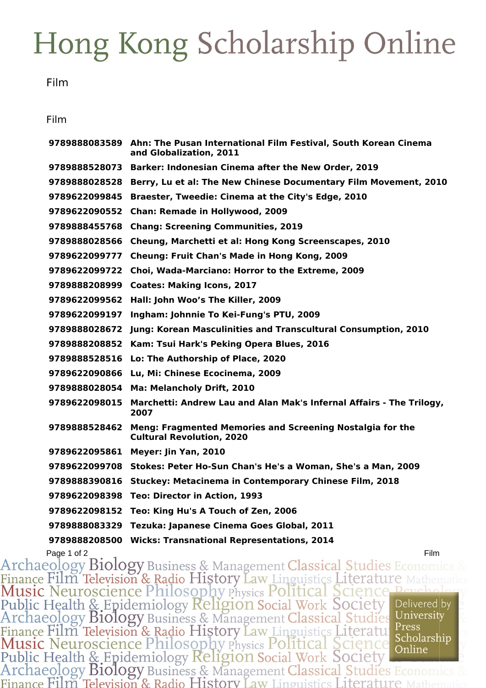## Hong Kong Scholarship Online

Film

## Film

|               | 9789888083589 Ahn: The Pusan International Film Festival, South Korean Cinema<br>and Globalization, 2011 |
|---------------|----------------------------------------------------------------------------------------------------------|
| 9789888528073 | Barker: Indonesian Cinema after the New Order, 2019                                                      |
| 9789888028528 | Berry, Lu et al: The New Chinese Documentary Film Movement, 2010                                         |
| 9789622099845 | Braester, Tweedie: Cinema at the City's Edge, 2010                                                       |
| 9789622090552 | <b>Chan: Remade in Hollywood, 2009</b>                                                                   |
| 9789888455768 | <b>Chang: Screening Communities, 2019</b>                                                                |
| 9789888028566 | Cheung, Marchetti et al: Hong Kong Screenscapes, 2010                                                    |
| 9789622099777 | <b>Cheung: Fruit Chan's Made in Hong Kong, 2009</b>                                                      |
| 9789622099722 | Choi, Wada-Marciano: Horror to the Extreme, 2009                                                         |
| 9789888208999 | <b>Coates: Making Icons, 2017</b>                                                                        |
| 9789622099562 | Hall: John Woo's The Killer, 2009                                                                        |
| 9789622099197 | Ingham: Johnnie To Kei-Fung's PTU, 2009                                                                  |
| 9789888028672 | Jung: Korean Masculinities and Transcultural Consumption, 2010                                           |
| 9789888208852 | Kam: Tsui Hark's Peking Opera Blues, 2016                                                                |
| 9789888528516 | Lo: The Authorship of Place, 2020                                                                        |
| 9789622090866 | Lu, Mi: Chinese Ecocinema, 2009                                                                          |
| 9789888028054 | Ma: Melancholy Drift, 2010                                                                               |
| 9789622098015 | Marchetti: Andrew Lau and Alan Mak's Infernal Affairs - The Trilogy,<br>2007                             |
| 9789888528462 | Meng: Fragmented Memories and Screening Nostalgia for the<br><b>Cultural Revolution, 2020</b>            |
| 9789622095861 | Meyer: Jin Yan, 2010                                                                                     |
| 9789622099708 | Stokes: Peter Ho-Sun Chan's He's a Woman, She's a Man, 2009                                              |
| 9789888390816 | <b>Stuckey: Metacinema in Contemporary Chinese Film, 2018</b>                                            |
| 9789622098398 | Teo: Director in Action, 1993                                                                            |
| 9789622098152 | Teo: King Hu's A Touch of Zen, 2006                                                                      |
| 9789888083329 | Tezuka: Japanese Cinema Goes Global, 2011                                                                |
| 9789888208500 | <b>Wicks: Transnational Representations, 2014</b>                                                        |

Page 1 of 2<br>Archaeology Biology Business & Management Classical Studies Economics & Finance Film Television & Radio History Law Linguistics Literature Mathem Public Health & Epidemiology Religion Social Work Society<br>Archaeology Biology Business & Management Classical Studies Delivered by University Finance Film Television & Radio History Law Linguistics Literatule Press<br>Music Neuroscience Philosophy Physics Political Science Scholarship<br>Public Health & Epidemiology Religion Social Work Society<br>Archaeology Biology Bus Press Scholarship Finance Film Television & Radio History Law Linguistics Literature N